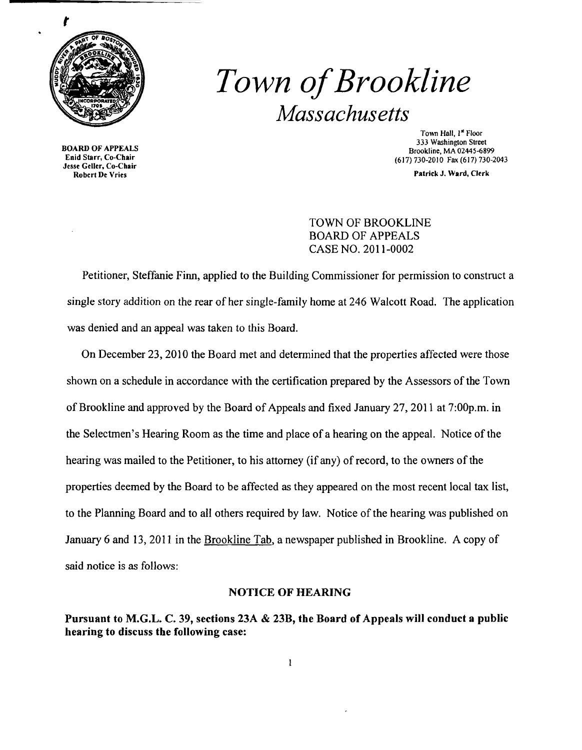

*Town ofBrookline Massachusetts* 

Enid Starr, Co-Chair (617) 730-2010 Fax (617) 730-2013<br>Jesse Geller, Co-Chair (617) 730-2010 Fax (617) 730-2043<br>Patrick J. Ward, Clerk Robert De Vries

Town Hall, 1st Floor 333 Washington Street BOARD OF APPEALS<br>Enid Starr, Co-Chair brookline, MA 02445-6899<br>Enid Starr, Co-Chair brookline, MA 02445-6899

# TOWN OF BROOKLINE BOARD OF APPEALS CASE NO. 2011-0002

Petitioner, Steffanie Finn, applied to the Building Commissioner for permission to construct a single story addition on the rear of her single-family home at 246 Walcott Road. The application was denied and an appeal was taken to this Board.

On December 23,2010 the Board met and determined that the properties affected were those shown on a schedule in accordance with the certification prepared by the Assessors of the Town of Brookline and approved by the Board of Appeals and fixed January 27, 2011 at 7:00p.m. in the Selectmen's Hearing Room as the time and place of a hearing on the appeal. Notice of the hearing was mailed to the Petitioner, to his attorney (if any) of record, to the owners of the properties deemed by the Board to be affected as they appeared on the most recent local tax list, to the Planning Board and to all others required by law. Notice of the hearing was published on January 6 and 13,2011 in the Brookline Tab, a newspaper published in Brookline. A copy of said notice is as follows:

## NOTICE OF HEARING

Pursuant to M.G.L. C. 39, sections 23A & 23B, the Board of Appeals will conduct a public hearing to discuss the following case:

 $\mathbf{I}$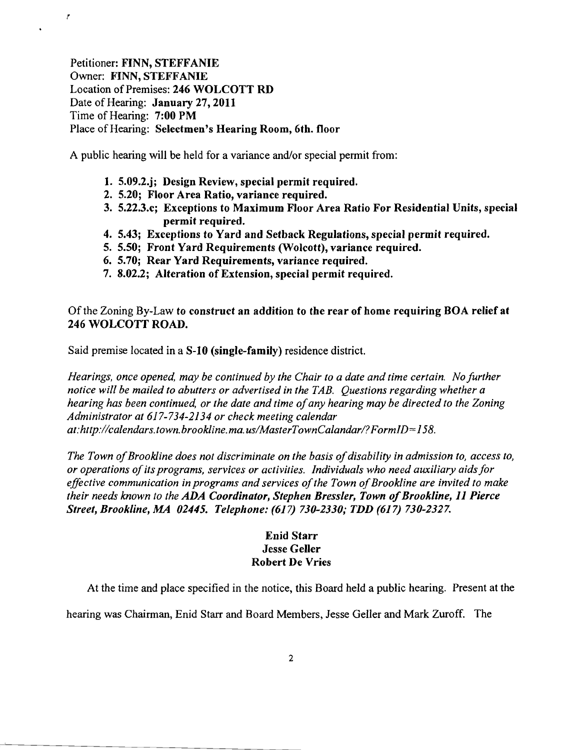Petitioner: FINN, STEFFANIE Owner: FINN, STEFFANIE Location of Premises: 246 WOLCOTT RD Date of Hearing: January 27, 2011 Time of Hearing: 7:00 PM Place of Hearing: Selectmen's Hearing Room, 6th. floor

!

 $\hat{\textbf{r}}$ 

A public hearing will be held for a variance and/or special permit from:

- 1. 5.09.2.j; Design Review, special permit required.
- 2. 5.20; Floor Area Ratio, variance required.
- 3. 5.22.3.c; Exceptions to Maximum Floor Area Ratio For Residential Units, special permit required.
- 4. 5.43; Exceptions to Yard and Setback Regulations, special permit required.
- 5. 5.50; Front Yard Requirements (Wolcott), variance required.
- 6. 5.70; Rear Yard Requirements, variance required.
- 7. 8.02.2; Alteration of Extension, special permit required.

Of the Zoning By-Law to construct an addition to the rear of home requiring BOA relief at 246 WOLCOTT ROAD.

Said premise located in a S-10 (single-family) residence district.

*Hearings, once opened, may be continued by the Chair to a date and time certain. No further notice will be mailed to abutters or advertised in the TAB. Questions regarding whether a hearing has been continued, or the date and time ofany hearing may be directed to the Zoning Administrator at* 617-734-2134 *or check meeting calendar at:http://calendars.town.brookline.ma.usIMasterTownCalandarl?FormID=158.* 

The Town of Brookline does not discriminate on the basis of disability in admission to, access to, *or operations ofits programs, services or activities. Individuals who need auxiliary aids for*  effective communication in programs and services of the Town of Brookline are invited to make *their needs known to the ADA Coordinator, Stephen Bressler, Town of Brookline, 11 Pierce Street, Brookline, MA 02445. Telephone:* (617) *730-2330,' TDD* (617) *730-2327.* 

## Enid Starr Jesse Geller Robert De Vries

At the time and place specified in the notice, this Board held a public hearing. Present at the

hearing was Chairman, Enid Starr and Board Members, Jesse Geller and Mark Zuroff. The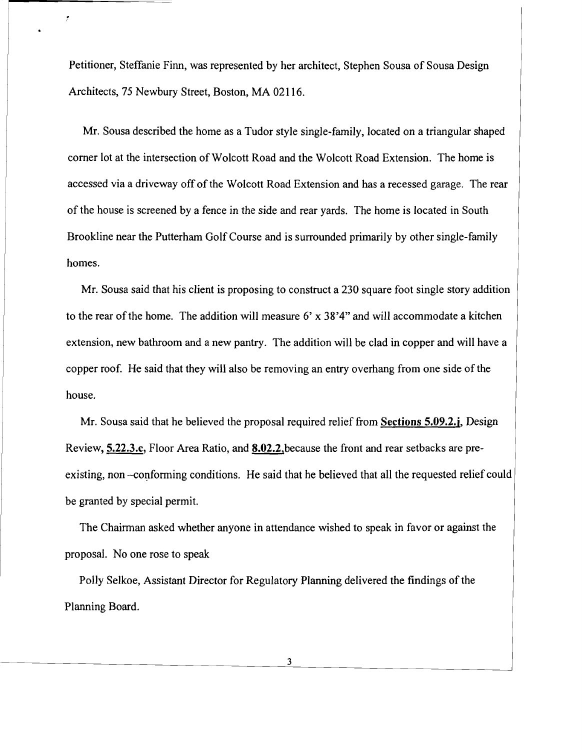Petitioner, Steffanie Finn, was represented by her architect, Stephen Sousa of Sousa Design Architects, 75 Newbury Street, Boston, MA 02116.

Ť

Mr. Sousa described the home as a Tudor style single-family, located on a triangular shaped corner lot at the intersection of Wolcott Road and the Wolcott Road Extension. The home is accessed via a driveway off of the Wolcott Road Extension and has a recessed garage. The rear of the house is screened by a fence in the side and rear yards. The home is located in South Brookline near the Putterham Golf Course and is surrounded primarily by other single-family homes.

Mr. Sousa said that his client is proposing to construct a 230 square foot single story addition to the rear of the home. The addition will measure  $6'$  x  $38'4''$  and will accommodate a kitchen extension, new bathroom and a new pantry. The addition will be clad in copper and will have a copper roof. He said that they will also be removing an entry overhang from one side of the house.

Mr. Sousa said that he believed the proposal required relief from Sections 5.09.2.j, Design Review, 5.22.3.c, Floor Area Ratio, and 8.02.2,because the front and rear setbacks are preexisting, non -conforming conditions. He said that he believed that all the requested relief could be granted by special permit.

The Chairman asked whether anyone in attendance wished to speak in favor or against the proposal. No one rose to speak

Polly Selkoe, Assistant Director for Regulatory Planning delivered the findings of the Planning Board.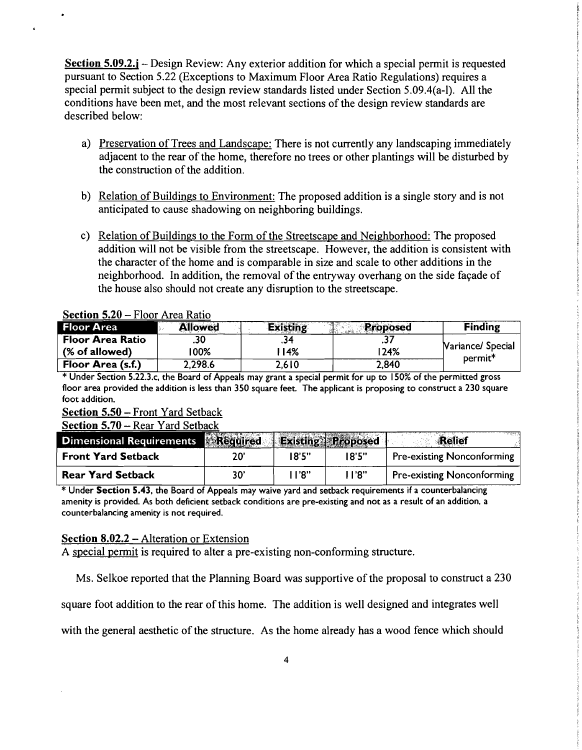Section 5.09.2.j – Design Review: Any exterior addition for which a special permit is requested pursuant to Section 5.22 (Exceptions to Maximum Floor Area Ratio Regulations) requires a special permit subject to the design review standards listed under Section 5.09.4(a-I). All the conditions have been met, and the most relevant sections of the design review standards are described below:

- a) Preservation of Trees and Landscape: There is not currently any landscaping immediately adjacent to the rear of the home, therefore no trees or other plantings will be disturbed by the construction of the addition.
- b) Relation of Buildings to Environment: The proposed addition is a single story and is not anticipated to cause shadowing on neighboring buildings.
- c) Relation of Buildings to the Form of the Streetscape and Neighborhood: The proposed addition will not be visible from the streetscape. However, the addition is consistent with the character of the home and is comparable in size and scale to other additions in the neighborhood. In addition, the removal of the entryway overhang on the side facade of the house also should not create any disruption to the streetscape.

### Section 5.20 - Floor Area Ratio

 $\lambda$ 

| <b>Floor Area</b> | <b>Allowed</b> | <b>Existing</b> | <b>Proposed</b> | <b>Finding</b>      |
|-------------------|----------------|-----------------|-----------------|---------------------|
| Floor Area Ratio  |                |                 |                 | Nariance/ Special   |
| (% of allowed)    | 100%           | 14%             | 124%            | permit <sup>*</sup> |
| Floor Area (s.f.) | 2.298.6        | 2,610           | 2.840           |                     |

\* Under Section 5.22.3.c, the Board of Appeals may grant a special permit for up to 150% of the permitted gross floor area provided the addition is less than 350 square feet. The applicant is proposing to construct a 230 square foot addition.

### Section 5.50 - Front Yard Setback

Section 5.70 – Rear Yard Setback

| Dimensional Requirements Required Existing Proposed |     |       |               | in sergeny da<br><b>Relief</b>    |
|-----------------------------------------------------|-----|-------|---------------|-----------------------------------|
| <b>Front Yard Setback</b>                           | 20' | 18'5" | $18^\circ$ 5" | <b>Pre-existing Nonconforming</b> |
| <b>Rear Yard Setback</b>                            | 30' | "א' ו | . 1'8"        | <b>Pre-existing Nonconforming</b> |

\* Under Section 5.43, the Board of Appeals may waive yard and setback requirements if a counterbalancing amenity is provided. As both deficient setback conditions are pre-existing and not as a result of an addition. a counterbalancing amenity is not required.

#### Section 8.02.2 - Alteration or Extension

A special permit is required to alter a pre-existing non-conforming structure.

Ms. Selkoe reported that the Planning Board was supportive of the proposal to construct a 230

square foot addition to the rear of this home. The addition is well designed and integrates well

with the general aesthetic of the structure. As the home already has a wood fence which should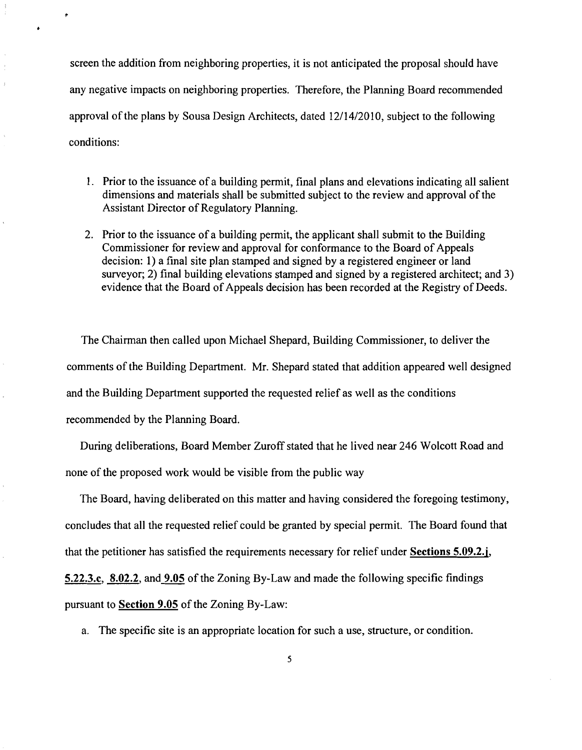screen the addition from neighboring properties, it is not anticipated the proposal should have any negative impacts on neighboring properties. Therefore, the Planning Board recommended approval of the plans by Sousa Design Architects, dated 12/14/2010, subject to the following conditions:

- 1. Prior to the issuance of a building permit, final plans and elevations indicating all salient dimensions and materials shall be submitted subject to the review and approval of the Assistant Director of Regulatory Planning.
- 2. Prior to the issuance of a building permit, the applicant shall submit to the Building Commissioner for review and approval for conformance to the Board of Appeals decision: 1) a final site plan stamped and signed by a registered engineer or land surveyor; 2) final building elevations stamped and signed by a registered architect; and 3) evidence that the Board of Appeals decision has been recorded at the Registry of Deeds.

The Chairman then called upon Michael Shepard, Building Commissioner, to deliver the comments of the Building Department. Mr. Shepard stated that addition appeared well designed and the Building Department supported the requested relief as well as the conditions recommended by the Planning Board.

During deliberations, Board Member Zuroff stated that he lived near 246 Wolcott Road and none of the proposed work would be visible from the public way

The Board, having deliberated on this matter and having considered the foregoing testimony, concludes that all the requested relief could be granted by special permit. The Board found that that the petitioner has satisfied the requirements necessary for relief under Sections 5.09.2.j, 5.22.3.c, 8.02.2, and 9.05 of the Zoning By-Law and made the following specific findings pursuant to Section 9.05 of the Zoning By-Law:

a. The specific site is an appropriate location for such a use, structure, or condition.